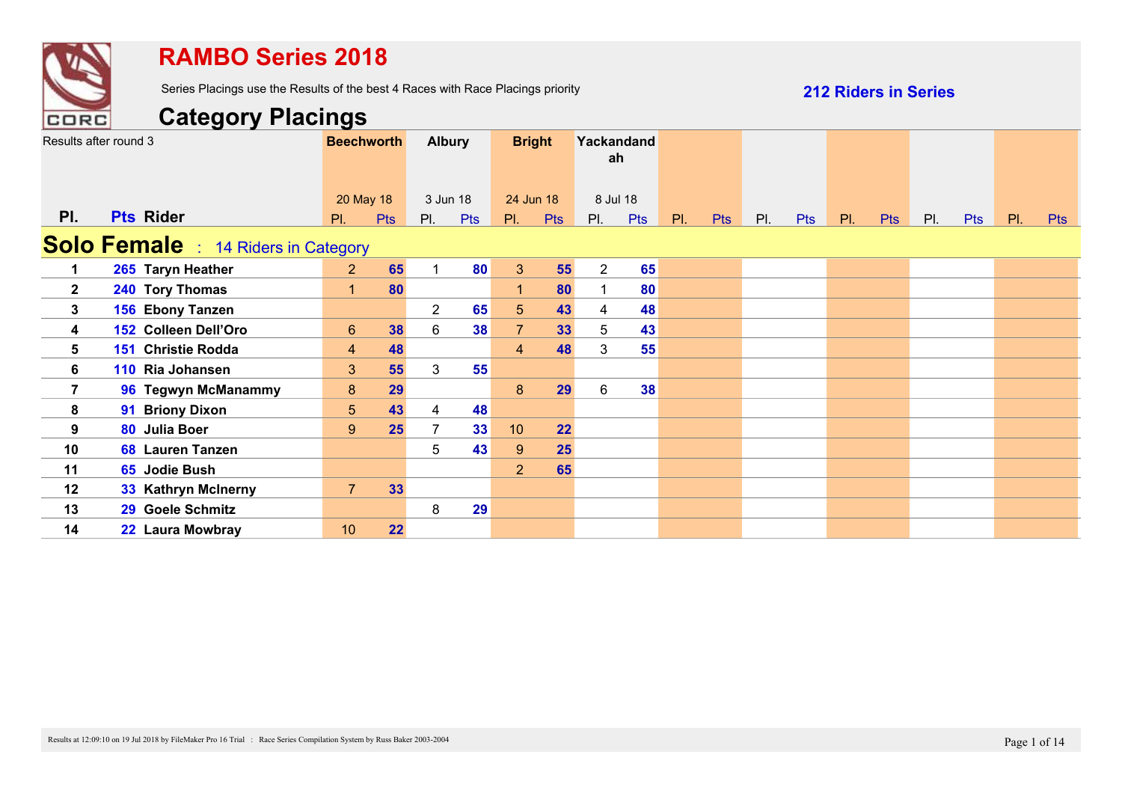

Series Placings use the Results of the best 4 Races with Race Placings priority

**212 Riders in Series**

|                  | Results after round 3                      | <b>Beechworth</b> |            |                | <b>Albury</b> | <b>Bright</b>  |            |                | Yackandand<br>ah |     |            |     |     |     |            |     |            |     |            |
|------------------|--------------------------------------------|-------------------|------------|----------------|---------------|----------------|------------|----------------|------------------|-----|------------|-----|-----|-----|------------|-----|------------|-----|------------|
|                  |                                            | 20 May 18         |            |                | 3 Jun 18      | 24 Jun 18      |            |                | 8 Jul 18         |     |            |     |     |     |            |     |            |     |            |
| PI.              | <b>Pts Rider</b>                           | $\mathsf{PL}$     | <b>Pts</b> | PI.            | <b>Pts</b>    | PI.            | <b>Pts</b> | PI.            | Pts              | PI. | <b>Pts</b> | PI. | Pts | PI. | <b>Pts</b> | PI. | <b>Pts</b> | PI. | <b>Pts</b> |
|                  | <b>Solo Female</b> : 14 Riders in Category |                   |            |                |               |                |            |                |                  |     |            |     |     |     |            |     |            |     |            |
| 1                | 265 Taryn Heather                          | 2 <sup>2</sup>    | 65         | 1              | 80            | $\mathbf{3}$   | 55         | $\overline{2}$ | 65               |     |            |     |     |     |            |     |            |     |            |
| $\mathbf{2}$     | 240 Tory Thomas                            | $\mathbf{1}$      | 80         |                |               | $\mathbf{1}$   | 80         |                | 80               |     |            |     |     |     |            |     |            |     |            |
| $\mathbf{3}$     | 156 Ebony Tanzen                           |                   |            | $\overline{2}$ | 65            | 5 <sup>5</sup> | 43         | 4              | 48               |     |            |     |     |     |            |     |            |     |            |
| 4                | 152 Colleen Dell'Oro                       | $6\phantom{1}6$   | 38         | 6              | 38            | $\overline{7}$ | 33         | 5              | 43               |     |            |     |     |     |            |     |            |     |            |
| 5                | 151 Christie Rodda                         | $\overline{4}$    | 48         |                |               | 4              | 48         | 3              | 55               |     |            |     |     |     |            |     |            |     |            |
| $\bf 6$          | 110 Ria Johansen                           | $\mathbf{3}$      | 55         | 3              | 55            |                |            |                |                  |     |            |     |     |     |            |     |            |     |            |
| 7                | 96 Tegwyn McManammy                        | 8                 | 29         |                |               | 8              | 29         | 6              | 38               |     |            |     |     |     |            |     |            |     |            |
| 8                | 91 Briony Dixon                            | $\overline{5}$    | 43         | 4              | 48            |                |            |                |                  |     |            |     |     |     |            |     |            |     |            |
| $\boldsymbol{9}$ | 80 Julia Boer                              | 9                 | 25         | $\overline{7}$ | 33            | 10             | 22         |                |                  |     |            |     |     |     |            |     |            |     |            |
| 10               | 68 Lauren Tanzen                           |                   |            | 5              | 43            | 9              | 25         |                |                  |     |            |     |     |     |            |     |            |     |            |
| 11               | 65 Jodie Bush                              |                   |            |                |               | 2 <sup>1</sup> | 65         |                |                  |     |            |     |     |     |            |     |            |     |            |
| 12               | 33 Kathryn McInerny                        | $\overline{7}$    | 33         |                |               |                |            |                |                  |     |            |     |     |     |            |     |            |     |            |
| 13               | 29 Goele Schmitz                           |                   |            | 8              | 29            |                |            |                |                  |     |            |     |     |     |            |     |            |     |            |
| 14               | 22 Laura Mowbray                           | 10                | 22         |                |               |                |            |                |                  |     |            |     |     |     |            |     |            |     |            |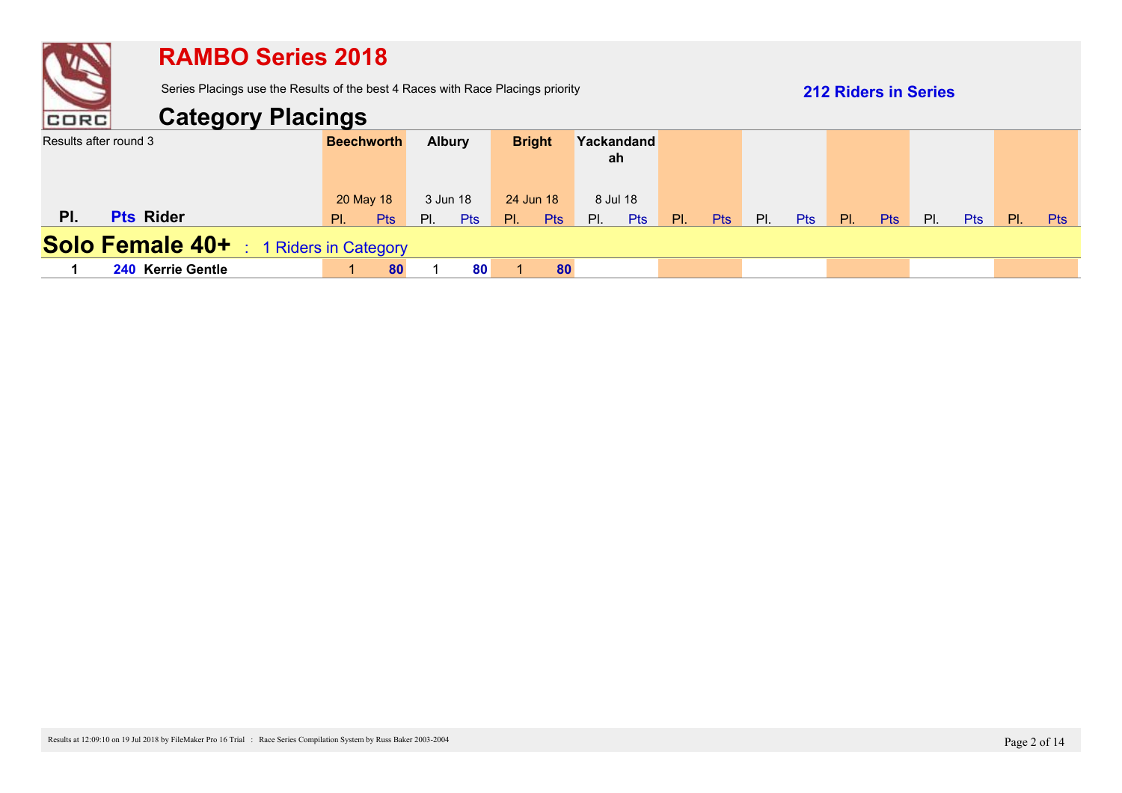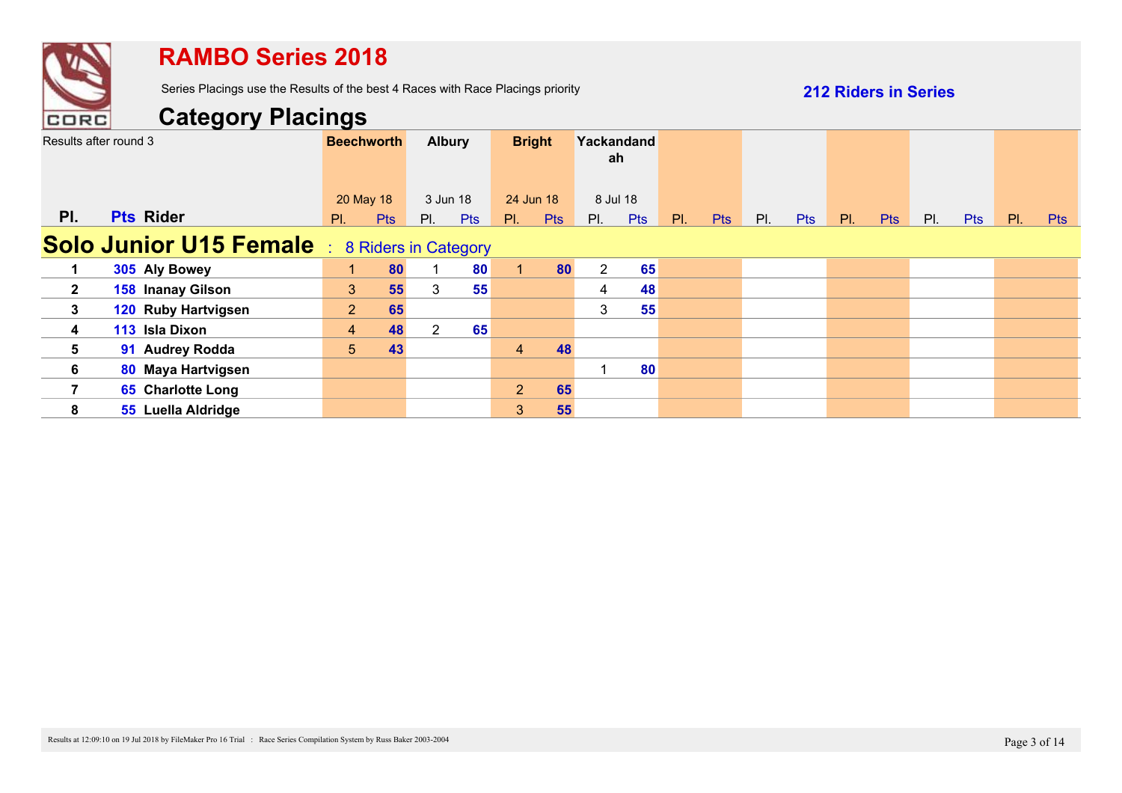

Series Placings use the Results of the best 4 Races with Race Placings priority

**212 Riders in Series**

|                         | Results after round 3         | <b>Beechworth</b>      |            | <b>Albury</b>   |     |                 | <b>Bright</b>           | Yackandand      | ah  |     |            |     |     |     |            |     |            |     |            |
|-------------------------|-------------------------------|------------------------|------------|-----------------|-----|-----------------|-------------------------|-----------------|-----|-----|------------|-----|-----|-----|------------|-----|------------|-----|------------|
| PI.                     | <b>Pts Rider</b>              | 20 May 18<br>PI.       | <b>Pts</b> | 3 Jun 18<br>PI. | Pts | $\mathsf{PI}$ . | 24 Jun 18<br><b>Pts</b> | 8 Jul 18<br>PI. | Pts | PI. | <b>Pts</b> | PI. | Pts | PI. | <b>Pts</b> | PI. | <b>Pts</b> | PI. | <b>Pts</b> |
|                         | <b>Solo Junior U15 Female</b> | : 8 Riders in Category |            |                 |     |                 |                         |                 |     |     |            |     |     |     |            |     |            |     |            |
| 1                       | 305 Aly Bowey                 | $\blacktriangleleft$   | 80         |                 | 80  |                 | 80                      | $\overline{2}$  | 65  |     |            |     |     |     |            |     |            |     |            |
| $\mathbf{2}$            | 158 Inanay Gilson             | 3                      | 55         | 3               | 55  |                 |                         | 4               | 48  |     |            |     |     |     |            |     |            |     |            |
| $\mathbf{3}$            | 120 Ruby Hartvigsen           | 2                      | 65         |                 |     |                 |                         | 3               | 55  |     |            |     |     |     |            |     |            |     |            |
| $\boldsymbol{4}$        | 113 Isla Dixon                | $\overline{4}$         | 48         | $\overline{2}$  | 65  |                 |                         |                 |     |     |            |     |     |     |            |     |            |     |            |
| $5\phantom{.0}$         | 91 Audrey Rodda               | $5\phantom{.}$         | 43         |                 |     | $\overline{4}$  | 48                      |                 |     |     |            |     |     |     |            |     |            |     |            |
| $6\phantom{1}$          | 80 Maya Hartvigsen            |                        |            |                 |     |                 |                         |                 | 80  |     |            |     |     |     |            |     |            |     |            |
| $\overline{\mathbf{7}}$ | 65 Charlotte Long             |                        |            |                 |     | 2 <sup>1</sup>  | 65                      |                 |     |     |            |     |     |     |            |     |            |     |            |
| 8                       | 55 Luella Aldridge            |                        |            |                 |     | 3 <sup>1</sup>  | 55                      |                 |     |     |            |     |     |     |            |     |            |     |            |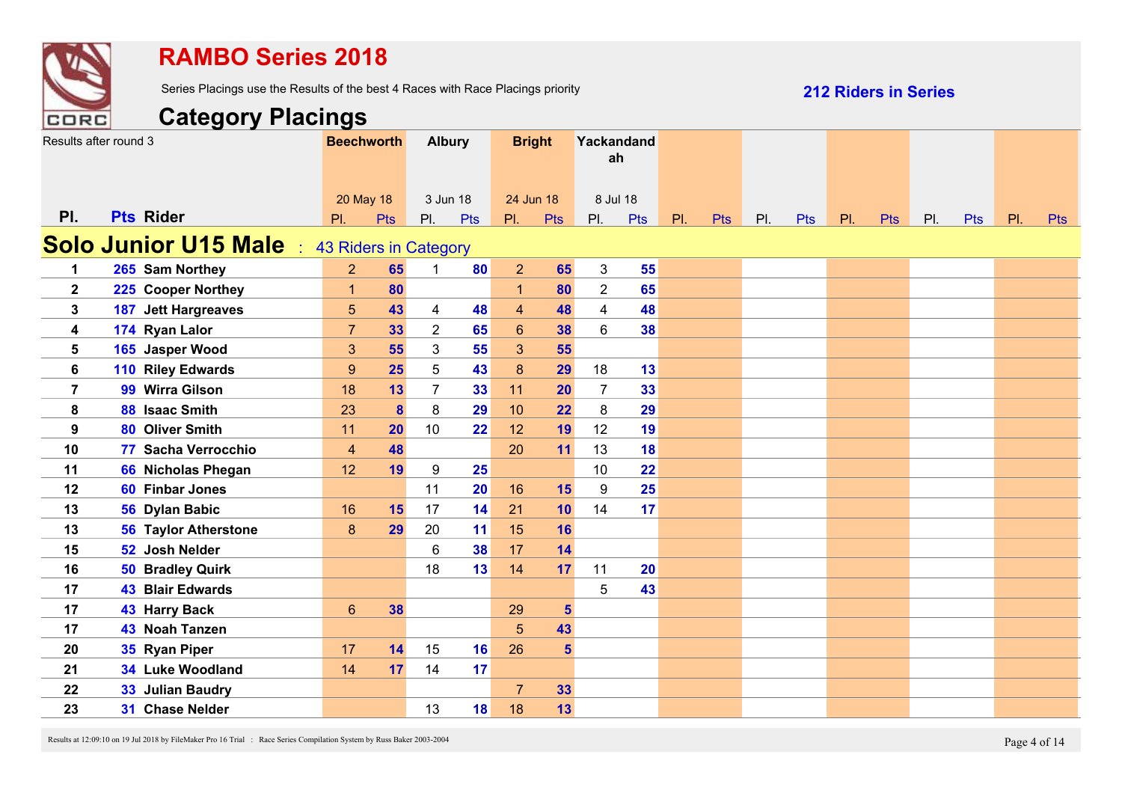

Series Placings use the Results of the best 4 Races with Race Placings priority

**212 Riders in Series**

|                | Results after round 3                               | <b>Beechworth</b> |                         | <b>Albury</b>  |     |                  | <b>Bright</b>  | Yackandand<br>ah |     |     |            |     |     |     |            |     |            |     |            |
|----------------|-----------------------------------------------------|-------------------|-------------------------|----------------|-----|------------------|----------------|------------------|-----|-----|------------|-----|-----|-----|------------|-----|------------|-----|------------|
|                |                                                     | 20 May 18         |                         | 3 Jun 18       |     | 24 Jun 18        |                | 8 Jul 18         |     |     |            |     |     |     |            |     |            |     |            |
| PI.            | <b>Pts Rider</b>                                    | PI.               | <b>Pts</b>              | PI.            | Pts | PI.              | <b>Pts</b>     | PI.              | Pts | PI. | <b>Pts</b> | PI. | Pts | PI. | <b>Pts</b> | PI. | <b>Pts</b> | PI. | <b>Pts</b> |
|                | <b>Solo Junior U15 Male</b> : 43 Riders in Category |                   |                         |                |     |                  |                |                  |     |     |            |     |     |     |            |     |            |     |            |
| $\mathbf 1$    | 265 Sam Northey                                     | $\overline{2}$    | 65                      | $\mathbf{1}$   | 80  | $\overline{2}$   | 65             | $\mathfrak{S}$   | 55  |     |            |     |     |     |            |     |            |     |            |
| $\mathbf{2}$   | 225 Cooper Northey                                  | $\mathbf{1}$      | 80                      |                |     | $\overline{1}$   | 80             | $\overline{2}$   | 65  |     |            |     |     |     |            |     |            |     |            |
| 3              | <b>187 Jett Hargreaves</b>                          | 5                 | 43                      | 4              | 48  | $\overline{4}$   | 48             | 4                | 48  |     |            |     |     |     |            |     |            |     |            |
| 4              | 174 Ryan Lalor                                      | $\overline{7}$    | 33                      | $\overline{2}$ | 65  | $6 \overline{6}$ | 38             | 6                | 38  |     |            |     |     |     |            |     |            |     |            |
| 5              | 165 Jasper Wood                                     | $\mathbf{3}$      | 55                      | 3              | 55  | 3                | 55             |                  |     |     |            |     |     |     |            |     |            |     |            |
| 6              | 110 Riley Edwards                                   | $\boldsymbol{9}$  | 25                      | 5              | 43  | $\bf{8}$         | 29             | 18               | 13  |     |            |     |     |     |            |     |            |     |            |
| $\overline{7}$ | 99 Wirra Gilson                                     | 18                | 13                      | $\overline{7}$ | 33  | 11               | 20             | $\overline{7}$   | 33  |     |            |     |     |     |            |     |            |     |            |
| 8              | 88 Isaac Smith                                      | 23                | $\overline{\mathbf{8}}$ | 8              | 29  | 10               | 22             | 8                | 29  |     |            |     |     |     |            |     |            |     |            |
| 9              | 80 Oliver Smith                                     | 11                | 20                      | 10             | 22  | 12               | 19             | 12               | 19  |     |            |     |     |     |            |     |            |     |            |
| 10             | 77 Sacha Verrocchio                                 | $\overline{4}$    | 48                      |                |     | 20               | 11             | 13               | 18  |     |            |     |     |     |            |     |            |     |            |
| 11             | 66 Nicholas Phegan                                  | 12                | 19                      | 9              | 25  |                  |                | 10               | 22  |     |            |     |     |     |            |     |            |     |            |
| 12             | 60 Finbar Jones                                     |                   |                         | 11             | 20  | 16               | 15             | 9                | 25  |     |            |     |     |     |            |     |            |     |            |
| 13             | 56 Dylan Babic                                      | 16                | 15                      | 17             | 14  | 21               | 10             | 14               | 17  |     |            |     |     |     |            |     |            |     |            |
| 13             | <b>56 Taylor Atherstone</b>                         | 8                 | 29                      | 20             | 11  | 15               | 16             |                  |     |     |            |     |     |     |            |     |            |     |            |
| 15             | 52 Josh Nelder                                      |                   |                         | 6              | 38  | 17               | 14             |                  |     |     |            |     |     |     |            |     |            |     |            |
| 16             | 50 Bradley Quirk                                    |                   |                         | 18             | 13  | 14               | 17             | 11               | 20  |     |            |     |     |     |            |     |            |     |            |
| 17             | <b>43 Blair Edwards</b>                             |                   |                         |                |     |                  |                | 5                | 43  |     |            |     |     |     |            |     |            |     |            |
| 17             | 43 Harry Back                                       | $6\phantom{a}$    | 38                      |                |     | 29               | 5 <sup>5</sup> |                  |     |     |            |     |     |     |            |     |            |     |            |
| 17             | 43 Noah Tanzen                                      |                   |                         |                |     | $5\phantom{.}$   | 43             |                  |     |     |            |     |     |     |            |     |            |     |            |
| 20             | 35 Ryan Piper                                       | 17                | 14                      | 15             | 16  | 26               | 5 <sup>5</sup> |                  |     |     |            |     |     |     |            |     |            |     |            |
| 21             | 34 Luke Woodland                                    | 14                | 17                      | 14             | 17  |                  |                |                  |     |     |            |     |     |     |            |     |            |     |            |
| 22             | 33 Julian Baudry                                    |                   |                         |                |     | $\overline{7}$   | 33             |                  |     |     |            |     |     |     |            |     |            |     |            |
| 23             | 31 Chase Nelder                                     |                   |                         | 13             | 18  | 18               | 13             |                  |     |     |            |     |     |     |            |     |            |     |            |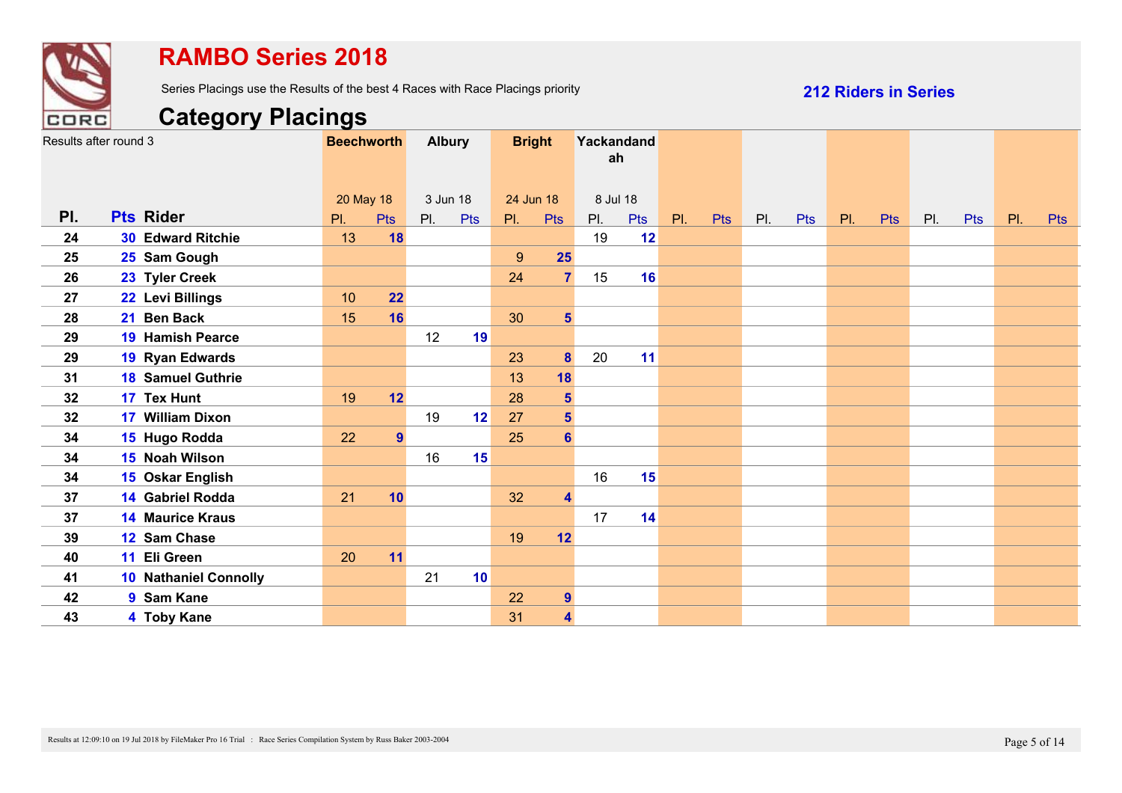

Series Placings use the Results of the best 4 Races with Race Placings priority

**212 Riders in Series**

|     | Results after round 3        | <b>Beechworth</b> |           | <b>Albury</b> |     |                  | <b>Bright</b>  | Yackandand<br>ah |            |     |            |     |            |     |            |     |     |     |            |
|-----|------------------------------|-------------------|-----------|---------------|-----|------------------|----------------|------------------|------------|-----|------------|-----|------------|-----|------------|-----|-----|-----|------------|
|     |                              |                   | 20 May 18 | 3 Jun 18      |     | 24 Jun 18        |                | 8 Jul 18         |            |     |            |     |            |     |            |     |     |     |            |
| PI. | <b>Pts Rider</b>             | PI.               | Pts       | PI.           | Pts | PI.              | Pts            | PI.              | <b>Pts</b> | PI. | <b>Pts</b> | PI. | <b>Pts</b> | PI. | <b>Pts</b> | PI. | Pts | PI. | <b>Pts</b> |
| 24  | <b>30 Edward Ritchie</b>     | 13                | 18        |               |     |                  |                | 19               | 12         |     |            |     |            |     |            |     |     |     |            |
| 25  | 25 Sam Gough                 |                   |           |               |     | $\boldsymbol{9}$ | 25             |                  |            |     |            |     |            |     |            |     |     |     |            |
| 26  | 23 Tyler Creek               |                   |           |               |     | 24               | $\overline{7}$ | 15               | 16         |     |            |     |            |     |            |     |     |     |            |
| 27  | 22 Levi Billings             | 10                | 22        |               |     |                  |                |                  |            |     |            |     |            |     |            |     |     |     |            |
| 28  | 21 Ben Back                  | 15                | 16        |               |     | 30               | 5 <sup>5</sup> |                  |            |     |            |     |            |     |            |     |     |     |            |
| 29  | <b>19 Hamish Pearce</b>      |                   |           | 12            | 19  |                  |                |                  |            |     |            |     |            |     |            |     |     |     |            |
| 29  | 19 Ryan Edwards              |                   |           |               |     | 23               | 8              | 20               | 11         |     |            |     |            |     |            |     |     |     |            |
| 31  | <b>18 Samuel Guthrie</b>     |                   |           |               |     | 13               | 18             |                  |            |     |            |     |            |     |            |     |     |     |            |
| 32  | 17 Tex Hunt                  | 19                | 12        |               |     | 28               | 5 <sup>5</sup> |                  |            |     |            |     |            |     |            |     |     |     |            |
| 32  | <b>17 William Dixon</b>      |                   |           | 19            | 12  | 27               | 5 <sup>5</sup> |                  |            |     |            |     |            |     |            |     |     |     |            |
| 34  | 15 Hugo Rodda                | 22                | 9         |               |     | 25               | $6\phantom{1}$ |                  |            |     |            |     |            |     |            |     |     |     |            |
| 34  | 15 Noah Wilson               |                   |           | 16            | 15  |                  |                |                  |            |     |            |     |            |     |            |     |     |     |            |
| 34  | 15 Oskar English             |                   |           |               |     |                  |                | 16               | 15         |     |            |     |            |     |            |     |     |     |            |
| 37  | 14 Gabriel Rodda             | 21                | 10        |               |     | 32               | 4              |                  |            |     |            |     |            |     |            |     |     |     |            |
| 37  | <b>14 Maurice Kraus</b>      |                   |           |               |     |                  |                | 17               | 14         |     |            |     |            |     |            |     |     |     |            |
| 39  | 12 Sam Chase                 |                   |           |               |     | 19               | 12             |                  |            |     |            |     |            |     |            |     |     |     |            |
| 40  | 11 Eli Green                 | 20                | 11        |               |     |                  |                |                  |            |     |            |     |            |     |            |     |     |     |            |
| 41  | <b>10 Nathaniel Connolly</b> |                   |           | 21            | 10  |                  |                |                  |            |     |            |     |            |     |            |     |     |     |            |
| 42  | 9 Sam Kane                   |                   |           |               |     | 22               | $\overline{9}$ |                  |            |     |            |     |            |     |            |     |     |     |            |
| 43  | 4 Toby Kane                  |                   |           |               |     | 31               | 4              |                  |            |     |            |     |            |     |            |     |     |     |            |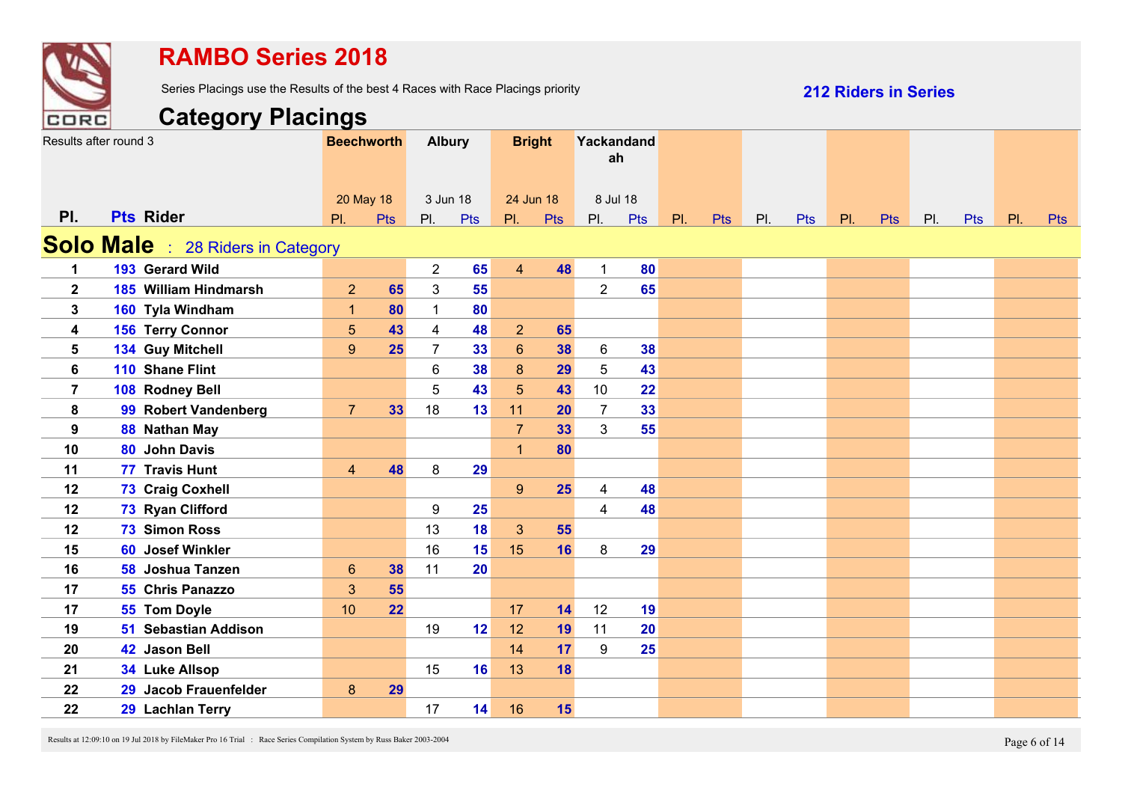

Series Placings use the Results of the best 4 Races with Race Placings priority

**212 Riders in Series**

|                         | Results after round 3                       | <b>Beechworth</b> |            | <b>Albury</b>  |            | <b>Bright</b>  |            | Yackandand<br>ah        |     |     |            |     |            |     |            |     |            |     |            |
|-------------------------|---------------------------------------------|-------------------|------------|----------------|------------|----------------|------------|-------------------------|-----|-----|------------|-----|------------|-----|------------|-----|------------|-----|------------|
|                         |                                             | 20 May 18         |            | 3 Jun 18       |            | 24 Jun 18      |            | 8 Jul 18                |     |     |            |     |            |     |            |     |            |     |            |
| PI.                     | <b>Pts Rider</b>                            | PI.               | <b>Pts</b> | PI.            | <b>Pts</b> | PI.            | <b>Pts</b> | PI.                     | Pts | PI. | <b>Pts</b> | PI. | <b>Pts</b> | PI. | <b>Pts</b> | PI. | <b>Pts</b> | PI. | <b>Pts</b> |
|                         | <b>Solo Male</b><br>: 28 Riders in Category |                   |            |                |            |                |            |                         |     |     |            |     |            |     |            |     |            |     |            |
| $\mathbf 1$             | 193 Gerard Wild                             |                   |            | $\overline{2}$ | 65         | $\overline{4}$ | 48         | $\mathbf{1}$            | 80  |     |            |     |            |     |            |     |            |     |            |
| $\mathbf 2$             | 185 William Hindmarsh                       | $\overline{2}$    | 65         | 3              | 55         |                |            | $\overline{2}$          | 65  |     |            |     |            |     |            |     |            |     |            |
| 3                       | 160 Tyla Windham                            | $\mathbf{1}$      | 80         | $\mathbf{1}$   | 80         |                |            |                         |     |     |            |     |            |     |            |     |            |     |            |
| 4                       | 156 Terry Connor                            | $\sqrt{5}$        | 43         | $\overline{4}$ | 48         | 2 <sup>2</sup> | 65         |                         |     |     |            |     |            |     |            |     |            |     |            |
| 5                       | 134 Guy Mitchell                            | $\boldsymbol{9}$  | 25         | $\overline{7}$ | 33         | $6\phantom{a}$ | 38         | $6\phantom{1}$          | 38  |     |            |     |            |     |            |     |            |     |            |
| 6                       | 110 Shane Flint                             |                   |            | 6              | 38         | 8              | 29         | $\sqrt{5}$              | 43  |     |            |     |            |     |            |     |            |     |            |
| $\overline{\mathbf{7}}$ | 108 Rodney Bell                             |                   |            | 5              | 43         | $\overline{5}$ | 43         | 10                      | 22  |     |            |     |            |     |            |     |            |     |            |
| 8                       | 99 Robert Vandenberg                        | $\overline{7}$    | 33         | 18             | 13         | 11             | 20         | $\overline{7}$          | 33  |     |            |     |            |     |            |     |            |     |            |
| 9                       | 88 Nathan May                               |                   |            |                |            | $\overline{7}$ | 33         | 3                       | 55  |     |            |     |            |     |            |     |            |     |            |
| 10                      | 80 John Davis                               |                   |            |                |            | $\mathbf{1}$   | 80         |                         |     |     |            |     |            |     |            |     |            |     |            |
| 11                      | 77 Travis Hunt                              | $\overline{4}$    | 48         | 8              | 29         |                |            |                         |     |     |            |     |            |     |            |     |            |     |            |
| 12                      | 73 Craig Coxhell                            |                   |            |                |            | 9              | 25         | $\overline{\mathbf{4}}$ | 48  |     |            |     |            |     |            |     |            |     |            |
| 12                      | 73 Ryan Clifford                            |                   |            | 9              | 25         |                |            | $\overline{4}$          | 48  |     |            |     |            |     |            |     |            |     |            |
| 12                      | <b>73 Simon Ross</b>                        |                   |            | 13             | 18         | 3              | 55         |                         |     |     |            |     |            |     |            |     |            |     |            |
| 15                      | 60 Josef Winkler                            |                   |            | 16             | 15         | 15             | 16         | $\bf 8$                 | 29  |     |            |     |            |     |            |     |            |     |            |
| 16                      | 58 Joshua Tanzen                            | $\boldsymbol{6}$  | 38         | 11             | 20         |                |            |                         |     |     |            |     |            |     |            |     |            |     |            |
| 17                      | 55 Chris Panazzo                            | 3                 | 55         |                |            |                |            |                         |     |     |            |     |            |     |            |     |            |     |            |
| 17                      | 55 Tom Doyle                                | 10                | 22         |                |            | 17             | 14         | 12                      | 19  |     |            |     |            |     |            |     |            |     |            |
| 19                      | 51 Sebastian Addison                        |                   |            | 19             | 12         | 12             | 19         | 11                      | 20  |     |            |     |            |     |            |     |            |     |            |
| 20                      | 42 Jason Bell                               |                   |            |                |            | 14             | 17         | $\boldsymbol{9}$        | 25  |     |            |     |            |     |            |     |            |     |            |
| 21                      | 34 Luke Allsop                              |                   |            | 15             | 16         | 13             | 18         |                         |     |     |            |     |            |     |            |     |            |     |            |
| 22                      | 29 Jacob Frauenfelder                       | $\bf 8$           | 29         |                |            |                |            |                         |     |     |            |     |            |     |            |     |            |     |            |
| 22                      | 29 Lachlan Terry                            |                   |            | 17             | 14         | 16             | 15         |                         |     |     |            |     |            |     |            |     |            |     |            |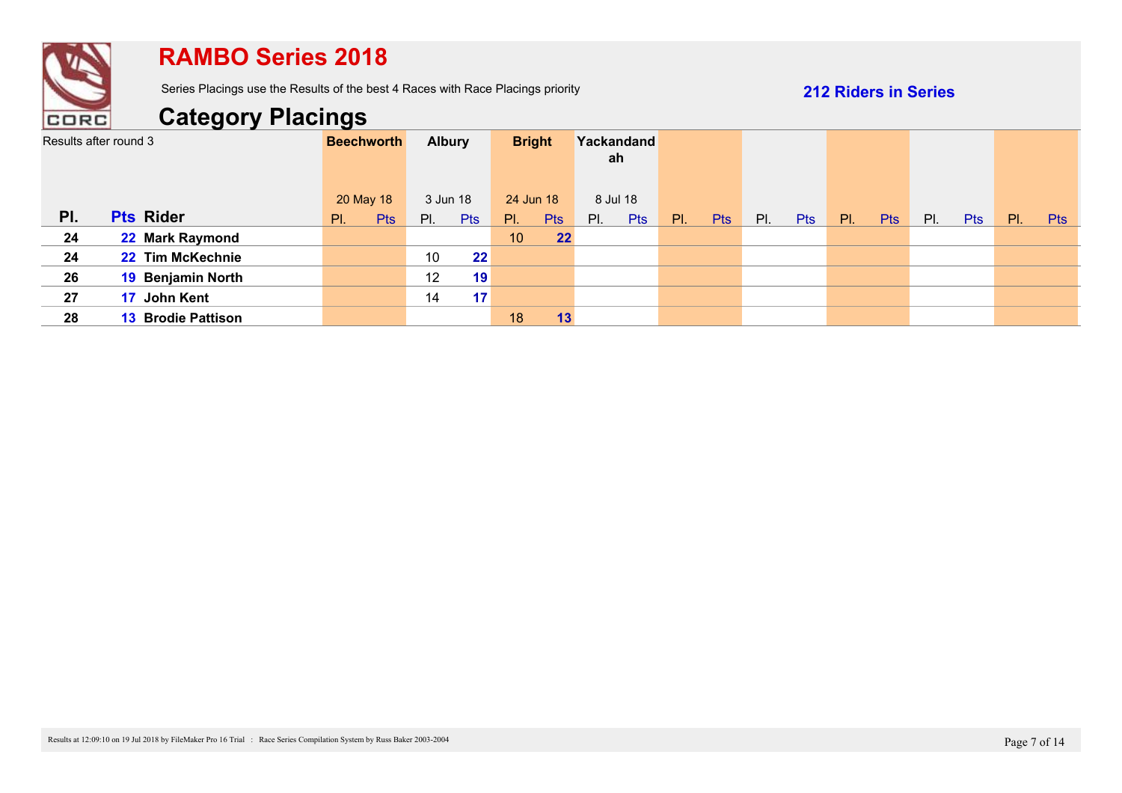

Series Placings use the Results of the best 4 Races with Race Placings priority

**212 Riders in Series**

| Results after round 3 |                           | <b>Beechworth</b> |            | <b>Albury</b> |            | <b>Bright</b>   |            |     | Yackandand<br>ah |     |            |     |            |     |            |    |            |     |            |
|-----------------------|---------------------------|-------------------|------------|---------------|------------|-----------------|------------|-----|------------------|-----|------------|-----|------------|-----|------------|----|------------|-----|------------|
|                       |                           | 20 May 18         |            | 3 Jun 18      |            | 24 Jun 18       |            |     | 8 Jul 18         |     |            |     |            |     |            |    |            |     |            |
| PI.                   | <b>Pts Rider</b>          | PI.               | <b>Pts</b> | PI.           | <b>Pts</b> | $\mathsf{PI}$ . | <b>Pts</b> | PI. | <b>Pts</b>       | PI. | <b>Pts</b> | PI. | <b>Pts</b> | PI. | <b>Pts</b> | PL | <b>Pts</b> | PI. | <b>Pts</b> |
| 24                    | 22 Mark Raymond           |                   |            |               |            | 10              | 22         |     |                  |     |            |     |            |     |            |    |            |     |            |
| 24                    | 22 Tim McKechnie          |                   |            | 10            | 22         |                 |            |     |                  |     |            |     |            |     |            |    |            |     |            |
| 26                    | 19 Benjamin North         |                   |            | 12            | 19         |                 |            |     |                  |     |            |     |            |     |            |    |            |     |            |
| 27                    | 17 John Kent              |                   |            | 14            | 17         |                 |            |     |                  |     |            |     |            |     |            |    |            |     |            |
| 28                    | <b>13 Brodie Pattison</b> |                   |            |               |            | 18              | 13         |     |                  |     |            |     |            |     |            |    |            |     |            |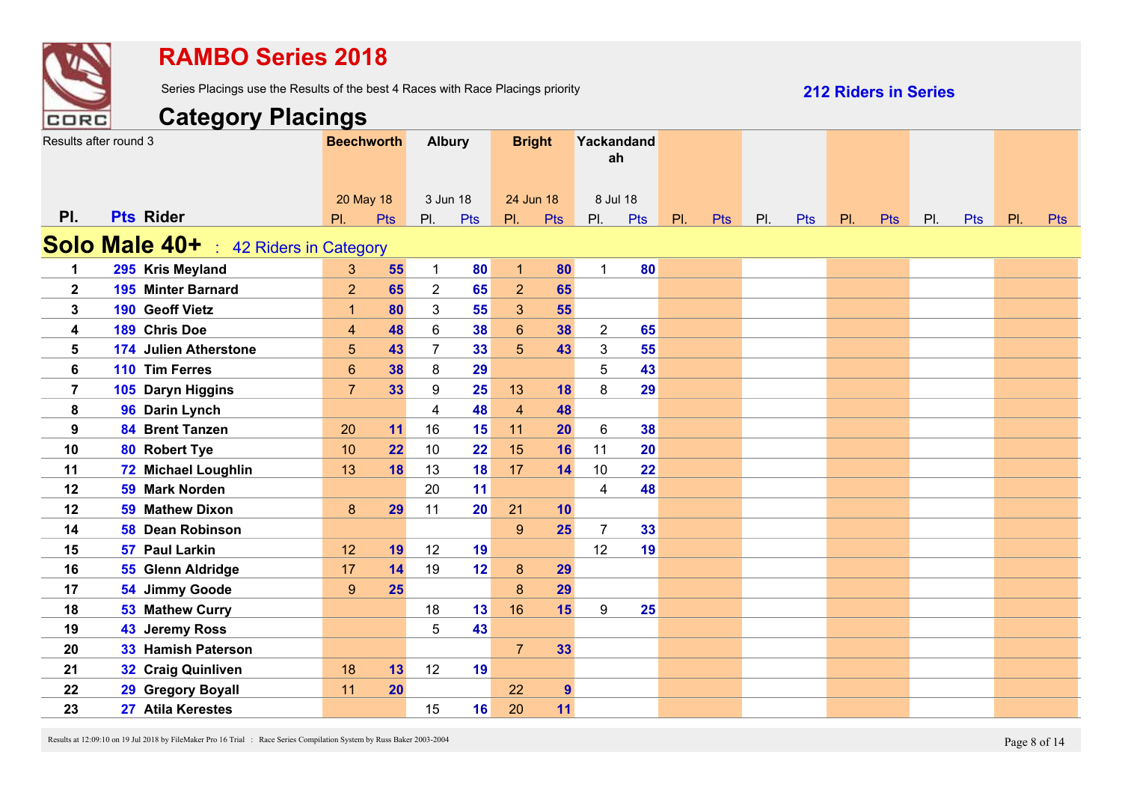

Series Placings use the Results of the best 4 Races with Race Placings priority

**212 Riders in Series**

|                | Results after round 3                    |                | <b>Beechworth</b> | <b>Albury</b>  |            | <b>Bright</b>           |                | Yackandand<br>ah |     |     |            |     |     |     |            |     |     |     |            |
|----------------|------------------------------------------|----------------|-------------------|----------------|------------|-------------------------|----------------|------------------|-----|-----|------------|-----|-----|-----|------------|-----|-----|-----|------------|
|                |                                          |                | 20 May 18         | 3 Jun 18       |            | 24 Jun 18               |                | 8 Jul 18         |     |     |            |     |     |     |            |     |     |     |            |
| PI.            | <b>Pts Rider</b>                         | PI.            | Pts               | PI.            | <b>Pts</b> | PI.                     | Pts            | PI.              | Pts | PI. | <b>Pts</b> | PI. | Pts | PI. | <b>Pts</b> | PI. | Pts | PI. | <b>Pts</b> |
|                | Solo Male 40+<br>: 42 Riders in Category |                |                   |                |            |                         |                |                  |     |     |            |     |     |     |            |     |     |     |            |
| 1              | 295 Kris Meyland                         | 3              | 55                | $\mathbf{1}$   | 80         | $\mathbf{1}$            | 80             | $\mathbf{1}$     | 80  |     |            |     |     |     |            |     |     |     |            |
| $\mathbf 2$    | <b>195 Minter Barnard</b>                | $\overline{2}$ | 65                | $\overline{2}$ | 65         | $\overline{2}$          | 65             |                  |     |     |            |     |     |     |            |     |     |     |            |
| 3              | 190 Geoff Vietz                          | $\mathbf{1}$   | 80                | 3              | 55         | 3                       | 55             |                  |     |     |            |     |     |     |            |     |     |     |            |
| 4              | 189 Chris Doe                            | $\overline{4}$ | 48                | $6\phantom{1}$ | 38         | $6\phantom{a}$          | 38             | $\overline{2}$   | 65  |     |            |     |     |     |            |     |     |     |            |
| 5              | <b>174 Julien Atherstone</b>             | $\overline{5}$ | 43                | $\overline{7}$ | 33         | 5                       | 43             | $\mathbf{3}$     | 55  |     |            |     |     |     |            |     |     |     |            |
| 6              | 110 Tim Ferres                           | $6\phantom{a}$ | 38                | 8              | 29         |                         |                | 5                | 43  |     |            |     |     |     |            |     |     |     |            |
| $\overline{7}$ | 105 Daryn Higgins                        | $\overline{7}$ | 33                | 9              | 25         | 13                      | 18             | 8                | 29  |     |            |     |     |     |            |     |     |     |            |
| 8              | 96 Darin Lynch                           |                |                   | $\overline{4}$ | 48         | $\overline{\mathbf{4}}$ | 48             |                  |     |     |            |     |     |     |            |     |     |     |            |
| 9              | 84 Brent Tanzen                          | 20             | 11                | 16             | 15         | 11                      | 20             | $\,6$            | 38  |     |            |     |     |     |            |     |     |     |            |
| 10             | 80 Robert Tye                            | 10             | 22                | 10             | 22         | 15                      | 16             | 11               | 20  |     |            |     |     |     |            |     |     |     |            |
| 11             | 72 Michael Loughlin                      | 13             | 18                | 13             | 18         | 17                      | 14             | 10               | 22  |     |            |     |     |     |            |     |     |     |            |
| 12             | 59 Mark Norden                           |                |                   | 20             | 11         |                         |                | $\overline{4}$   | 48  |     |            |     |     |     |            |     |     |     |            |
| 12             | 59 Mathew Dixon                          | 8              | 29                | 11             | 20         | 21                      | 10             |                  |     |     |            |     |     |     |            |     |     |     |            |
| 14             | 58 Dean Robinson                         |                |                   |                |            | 9                       | 25             | $\overline{7}$   | 33  |     |            |     |     |     |            |     |     |     |            |
| 15             | 57 Paul Larkin                           | 12             | 19                | 12             | 19         |                         |                | 12               | 19  |     |            |     |     |     |            |     |     |     |            |
| 16             | 55 Glenn Aldridge                        | 17             | 14                | 19             | 12         | $8\phantom{1}$          | 29             |                  |     |     |            |     |     |     |            |     |     |     |            |
| 17             | 54 Jimmy Goode                           | 9              | 25                |                |            | 8                       | 29             |                  |     |     |            |     |     |     |            |     |     |     |            |
| 18             | 53 Mathew Curry                          |                |                   | 18             | 13         | 16                      | 15             | 9                | 25  |     |            |     |     |     |            |     |     |     |            |
| 19             | 43 Jeremy Ross                           |                |                   | 5              | 43         |                         |                |                  |     |     |            |     |     |     |            |     |     |     |            |
| 20             | 33 Hamish Paterson                       |                |                   |                |            | $\overline{7}$          | 33             |                  |     |     |            |     |     |     |            |     |     |     |            |
| 21             | 32 Craig Quinliven                       | 18             | 13                | 12             | 19         |                         |                |                  |     |     |            |     |     |     |            |     |     |     |            |
| 22             | 29 Gregory Boyall                        | 11             | 20                |                |            | 22                      | $\overline{9}$ |                  |     |     |            |     |     |     |            |     |     |     |            |
| 23             | 27 Atila Kerestes                        |                |                   | 15             | 16         | 20                      | 11             |                  |     |     |            |     |     |     |            |     |     |     |            |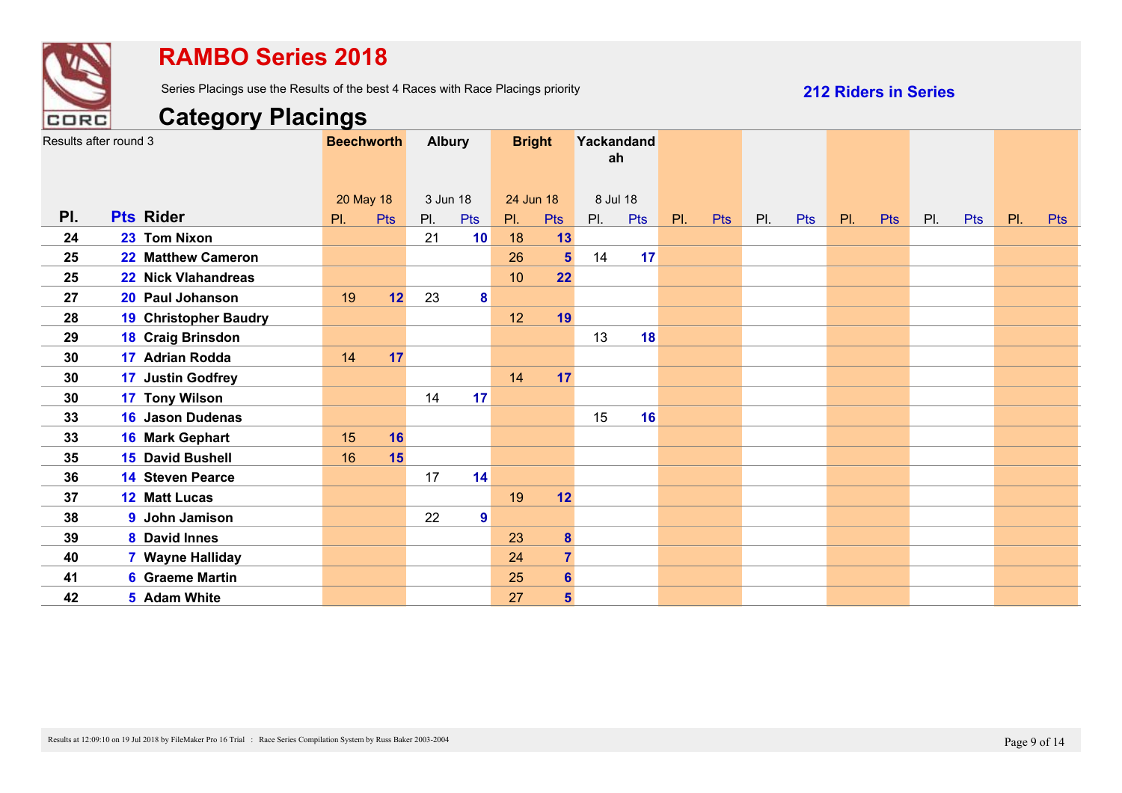

Series Placings use the Results of the best 4 Races with Race Placings priority

**212 Riders in Series**

|     | Results after round 3        |     | <b>Beechworth</b> | <b>Albury</b> |                  | <b>Bright</b> |                | Yackandand<br>ah |            |     |            |     |     |     |            |     |     |     |            |
|-----|------------------------------|-----|-------------------|---------------|------------------|---------------|----------------|------------------|------------|-----|------------|-----|-----|-----|------------|-----|-----|-----|------------|
|     |                              |     | 20 May 18         | 3 Jun 18      |                  | 24 Jun 18     |                | 8 Jul 18         |            |     |            |     |     |     |            |     |     |     |            |
| PI. | <b>Pts Rider</b>             | PI. | Pts               | PI.           | Pts              | PI.           | <b>Pts</b>     | PI.              | <b>Pts</b> | PI. | <b>Pts</b> | PI. | Pts | PI. | <b>Pts</b> | PI. | Pts | PI. | <b>Pts</b> |
| 24  | 23 Tom Nixon                 |     |                   | 21            | 10               | 18            | 13             |                  |            |     |            |     |     |     |            |     |     |     |            |
| 25  | 22 Matthew Cameron           |     |                   |               |                  | 26            | $5\phantom{a}$ | 14               | 17         |     |            |     |     |     |            |     |     |     |            |
| 25  | 22 Nick Vlahandreas          |     |                   |               |                  | 10            | 22             |                  |            |     |            |     |     |     |            |     |     |     |            |
| 27  | 20 Paul Johanson             | 19  | 12                | 23            | 8 <sup>1</sup>   |               |                |                  |            |     |            |     |     |     |            |     |     |     |            |
| 28  | <b>19 Christopher Baudry</b> |     |                   |               |                  | 12            | 19             |                  |            |     |            |     |     |     |            |     |     |     |            |
| 29  | <b>18 Craig Brinsdon</b>     |     |                   |               |                  |               |                | 13               | 18         |     |            |     |     |     |            |     |     |     |            |
| 30  | 17 Adrian Rodda              | 14  | 17                |               |                  |               |                |                  |            |     |            |     |     |     |            |     |     |     |            |
| 30  | <b>17 Justin Godfrey</b>     |     |                   |               |                  | 14            | 17             |                  |            |     |            |     |     |     |            |     |     |     |            |
| 30  | 17 Tony Wilson               |     |                   | 14            | 17               |               |                |                  |            |     |            |     |     |     |            |     |     |     |            |
| 33  | <b>16 Jason Dudenas</b>      |     |                   |               |                  |               |                | 15               | 16         |     |            |     |     |     |            |     |     |     |            |
| 33  | 16 Mark Gephart              | 15  | 16                |               |                  |               |                |                  |            |     |            |     |     |     |            |     |     |     |            |
| 35  | <b>15 David Bushell</b>      | 16  | 15                |               |                  |               |                |                  |            |     |            |     |     |     |            |     |     |     |            |
| 36  | <b>14 Steven Pearce</b>      |     |                   | 17            | 14               |               |                |                  |            |     |            |     |     |     |            |     |     |     |            |
| 37  | <b>12 Matt Lucas</b>         |     |                   |               |                  | 19            | 12             |                  |            |     |            |     |     |     |            |     |     |     |            |
| 38  | 9 John Jamison               |     |                   | 22            | $\boldsymbol{9}$ |               |                |                  |            |     |            |     |     |     |            |     |     |     |            |
| 39  | 8 David Innes                |     |                   |               |                  | 23            | $\bf{8}$       |                  |            |     |            |     |     |     |            |     |     |     |            |
| 40  | 7 Wayne Halliday             |     |                   |               |                  | 24            | $\overline{7}$ |                  |            |     |            |     |     |     |            |     |     |     |            |
| 41  | <b>6</b> Graeme Martin       |     |                   |               |                  | 25            | $6\phantom{a}$ |                  |            |     |            |     |     |     |            |     |     |     |            |
| 42  | 5 Adam White                 |     |                   |               |                  | 27            | 5              |                  |            |     |            |     |     |     |            |     |     |     |            |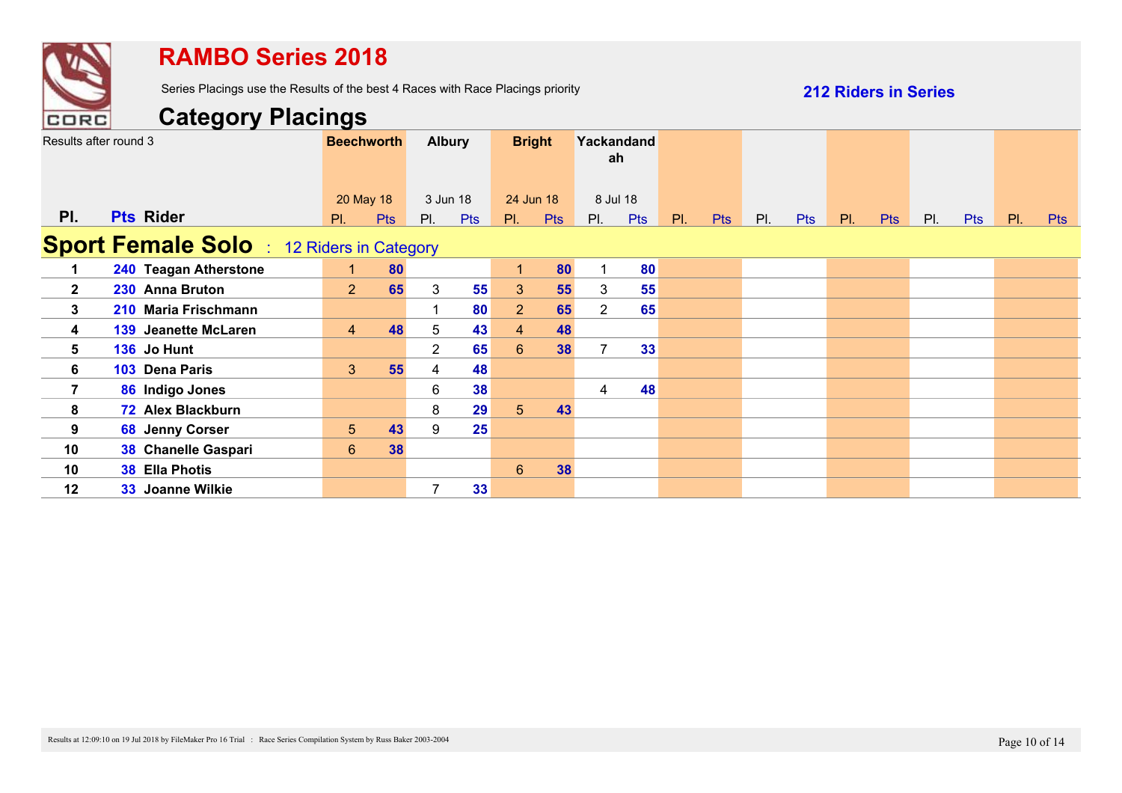

Series Placings use the Results of the best 4 Races with Race Placings priority

**212 Riders in Series**

|                | Results after round 3                            | <b>Beechworth</b> |            | <b>Albury</b>  |            | <b>Bright</b>   |            |     | Yackandand<br>ah |     |            |     |     |     |            |     |            |     |            |
|----------------|--------------------------------------------------|-------------------|------------|----------------|------------|-----------------|------------|-----|------------------|-----|------------|-----|-----|-----|------------|-----|------------|-----|------------|
|                |                                                  | 20 May 18         |            | 3 Jun 18       |            | 24 Jun 18       |            |     | 8 Jul 18         |     |            |     |     |     |            |     |            |     |            |
| PI.            | <b>Pts Rider</b>                                 | $\mathsf{PI}$ .   | <b>Pts</b> | PL             | <b>Pts</b> | $\mathsf{PI}$ . | <b>Pts</b> | PI. | Pts              | PI. | <b>Pts</b> | PI. | Pts | PI. | <b>Pts</b> | PI. | <b>Pts</b> | PI. | <b>Pts</b> |
|                | <b>Sport Female Solo</b> : 12 Riders in Category |                   |            |                |            |                 |            |     |                  |     |            |     |     |     |            |     |            |     |            |
| 1              | 240 Teagan Atherstone                            | 1                 | 80         |                |            | $\mathbf{1}$    | 80         | 1   | 80               |     |            |     |     |     |            |     |            |     |            |
| $\overline{2}$ | 230 Anna Bruton                                  | 2 <sup>1</sup>    | 65         | 3 <sup>1</sup> | 55         | 3 <sup>5</sup>  | 55         | 3   | 55               |     |            |     |     |     |            |     |            |     |            |
| $\mathbf{3}$   | 210 Maria Frischmann                             |                   |            | 1              | 80         | $\overline{2}$  | 65         | 2   | 65               |     |            |     |     |     |            |     |            |     |            |
| 4              | <b>139 Jeanette McLaren</b>                      | $\overline{4}$    | 48         | 5              | 43         | $\overline{4}$  | 48         |     |                  |     |            |     |     |     |            |     |            |     |            |
| 5              | 136 Jo Hunt                                      |                   |            | $\overline{2}$ | 65         | $6\phantom{1}$  | 38         | 7   | 33               |     |            |     |     |     |            |     |            |     |            |
| $6\phantom{1}$ | 103 Dena Paris                                   | 3                 | 55         | 4              | 48         |                 |            |     |                  |     |            |     |     |     |            |     |            |     |            |
| $\overline{7}$ | 86 Indigo Jones                                  |                   |            | 6              | 38         |                 |            | 4   | 48               |     |            |     |     |     |            |     |            |     |            |
| 8              | 72 Alex Blackburn                                |                   |            | 8              | 29         | 5 <sup>5</sup>  | 43         |     |                  |     |            |     |     |     |            |     |            |     |            |
| 9              | 68 Jenny Corser                                  | $5\phantom{.}$    | 43         | 9              | 25         |                 |            |     |                  |     |            |     |     |     |            |     |            |     |            |
| 10             | 38 Chanelle Gaspari                              | $6\phantom{1}$    | 38         |                |            |                 |            |     |                  |     |            |     |     |     |            |     |            |     |            |
| 10             | 38 Ella Photis                                   |                   |            |                |            | 6 <sup>°</sup>  | 38         |     |                  |     |            |     |     |     |            |     |            |     |            |
| 12             | 33 Joanne Wilkie                                 |                   |            | $\overline{7}$ | 33         |                 |            |     |                  |     |            |     |     |     |            |     |            |     |            |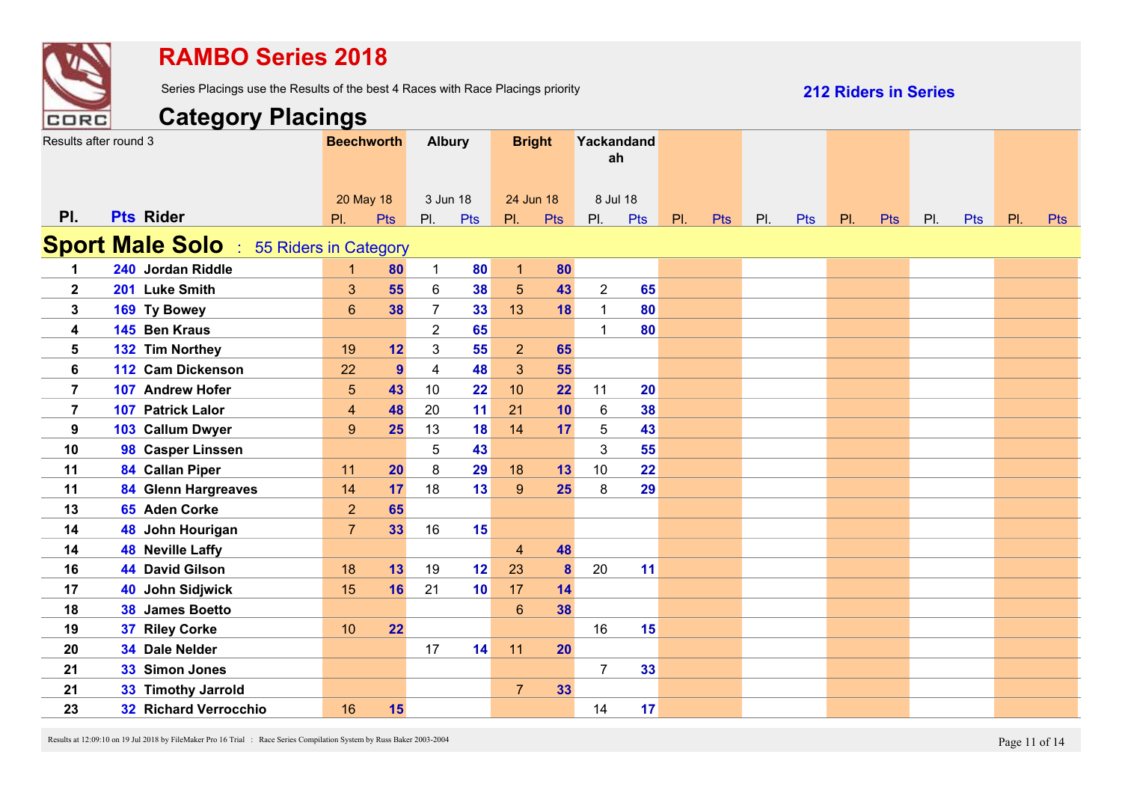

Series Placings use the Results of the best 4 Races with Race Placings priority

**212 Riders in Series**

|                | Results after round 3                             | <b>Beechworth</b>       |                | <b>Albury</b>  |     | <b>Bright</b>  |            | Yackandand<br>ah |            |     |     |     |            |     |            |     |            |     |            |
|----------------|---------------------------------------------------|-------------------------|----------------|----------------|-----|----------------|------------|------------------|------------|-----|-----|-----|------------|-----|------------|-----|------------|-----|------------|
|                |                                                   | 20 May 18               |                | 3 Jun 18       |     | 24 Jun 18      |            | 8 Jul 18         |            |     |     |     |            |     |            |     |            |     |            |
| PI.            | <b>Pts Rider</b>                                  | PI.                     | Pts            | PI.            | Pts | PI.            | <b>Pts</b> | PI.              | <b>Pts</b> | PI. | Pts | PI. | <b>Pts</b> | PI. | <b>Pts</b> | PI. | <b>Pts</b> | PI. | <b>Pts</b> |
|                | <b>Sport Male Solo</b><br>: 55 Riders in Category |                         |                |                |     |                |            |                  |            |     |     |     |            |     |            |     |            |     |            |
| 1              | 240 Jordan Riddle                                 | $\mathbf{1}$            | 80             | $\mathbf{1}$   | 80  | $\mathbf{1}$   | 80         |                  |            |     |     |     |            |     |            |     |            |     |            |
| $\mathbf{2}$   | 201 Luke Smith                                    | 3                       | 55             | $6\phantom{1}$ | 38  | 5              | 43         | $\overline{2}$   | 65         |     |     |     |            |     |            |     |            |     |            |
| 3              | 169 Ty Bowey                                      | $6\phantom{1}$          | 38             | $\overline{7}$ | 33  | 13             | 18         | $\mathbf{1}$     | 80         |     |     |     |            |     |            |     |            |     |            |
| 4              | 145 Ben Kraus                                     |                         |                | 2              | 65  |                |            | $\mathbf 1$      | 80         |     |     |     |            |     |            |     |            |     |            |
| 5              | 132 Tim Northey                                   | 19                      | 12             | 3              | 55  | $\overline{2}$ | 65         |                  |            |     |     |     |            |     |            |     |            |     |            |
| 6              | 112 Cam Dickenson                                 | 22                      | $\overline{9}$ | $\overline{4}$ | 48  | $\mathbf{3}$   | 55         |                  |            |     |     |     |            |     |            |     |            |     |            |
| $\overline{7}$ | 107 Andrew Hofer                                  | $\overline{5}$          | 43             | 10             | 22  | 10             | 22         | 11               | 20         |     |     |     |            |     |            |     |            |     |            |
| $\overline{7}$ | 107 Patrick Lalor                                 | $\overline{\mathbf{4}}$ | 48             | 20             | 11  | 21             | 10         | 6                | 38         |     |     |     |            |     |            |     |            |     |            |
| 9              | 103 Callum Dwyer                                  | $\boldsymbol{9}$        | 25             | 13             | 18  | 14             | 17         | 5                | 43         |     |     |     |            |     |            |     |            |     |            |
| 10             | 98 Casper Linssen                                 |                         |                | 5              | 43  |                |            | 3                | 55         |     |     |     |            |     |            |     |            |     |            |
| 11             | 84 Callan Piper                                   | 11                      | 20             | $\bf 8$        | 29  | 18             | 13         | 10               | 22         |     |     |     |            |     |            |     |            |     |            |
| 11             | 84 Glenn Hargreaves                               | 14                      | 17             | 18             | 13  | $\overline{9}$ | 25         | 8                | 29         |     |     |     |            |     |            |     |            |     |            |
| 13             | 65 Aden Corke                                     | $\overline{2}$          | 65             |                |     |                |            |                  |            |     |     |     |            |     |            |     |            |     |            |
| 14             | 48 John Hourigan                                  | $\overline{7}$          | 33             | 16             | 15  |                |            |                  |            |     |     |     |            |     |            |     |            |     |            |
| 14             | <b>48 Neville Laffy</b>                           |                         |                |                |     | $\overline{4}$ | 48         |                  |            |     |     |     |            |     |            |     |            |     |            |
| 16             | <b>44 David Gilson</b>                            | 18                      | 13             | 19             | 12  | 23             | 8          | 20               | 11         |     |     |     |            |     |            |     |            |     |            |
| 17             | 40 John Sidjwick                                  | 15                      | 16             | 21             | 10  | 17             | 14         |                  |            |     |     |     |            |     |            |     |            |     |            |
| 18             | 38 James Boetto                                   |                         |                |                |     | $6\phantom{1}$ | 38         |                  |            |     |     |     |            |     |            |     |            |     |            |
| 19             | 37 Riley Corke                                    | 10                      | 22             |                |     |                |            | 16               | 15         |     |     |     |            |     |            |     |            |     |            |
| 20             | 34 Dale Nelder                                    |                         |                | 17             | 14  | 11             | 20         |                  |            |     |     |     |            |     |            |     |            |     |            |
| 21             | 33 Simon Jones                                    |                         |                |                |     |                |            | $\overline{7}$   | 33         |     |     |     |            |     |            |     |            |     |            |
| 21             | 33 Timothy Jarrold                                |                         |                |                |     | $\overline{7}$ | 33         |                  |            |     |     |     |            |     |            |     |            |     |            |
| 23             | <b>32 Richard Verrocchio</b>                      | 16                      | 15             |                |     |                |            | 14               | 17         |     |     |     |            |     |            |     |            |     |            |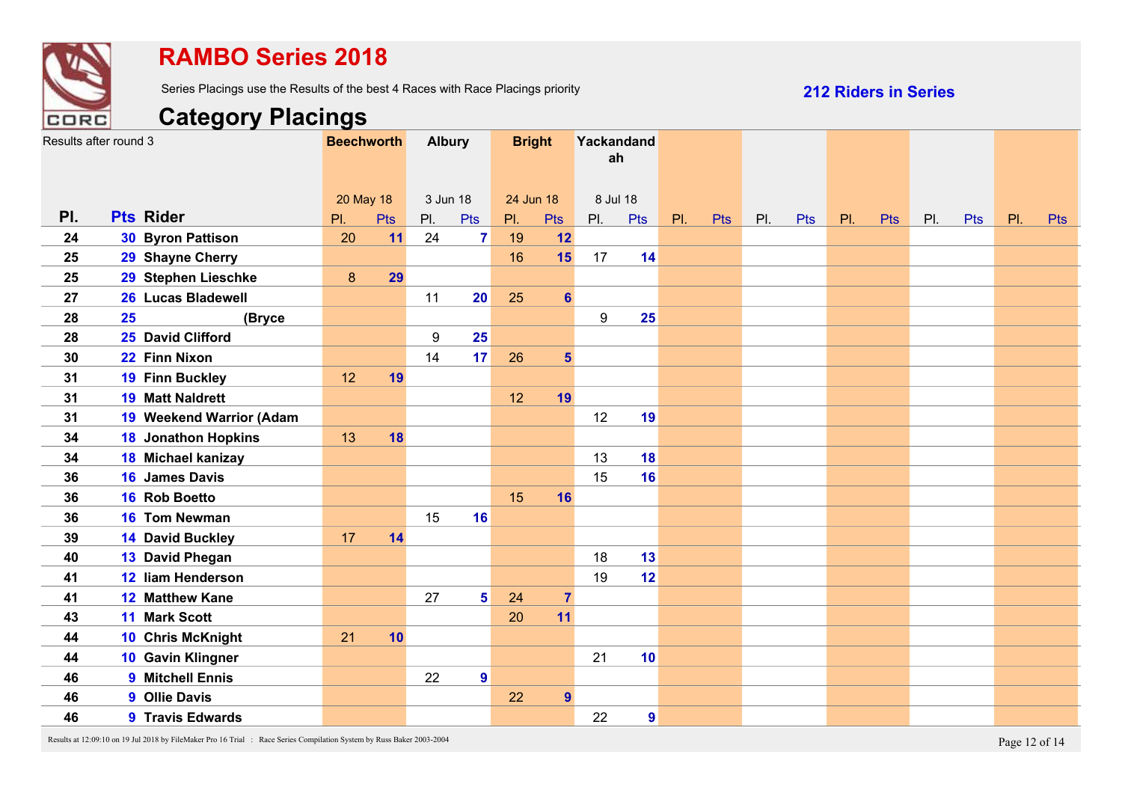

Series Placings use the Results of the best 4 Races with Race Placings priority

**212 Riders in Series**

# **Category Placings**

|     | Results after round 3      | <b>Beechworth</b> |     | <b>Albury</b>    |                  | <b>Bright</b> |                         | Yackandand<br>ah |                  |     |            |     |            |     |            |     |            |     |            |
|-----|----------------------------|-------------------|-----|------------------|------------------|---------------|-------------------------|------------------|------------------|-----|------------|-----|------------|-----|------------|-----|------------|-----|------------|
|     |                            |                   |     |                  |                  |               |                         |                  |                  |     |            |     |            |     |            |     |            |     |            |
|     |                            | 20 May 18         |     | 3 Jun 18         |                  | 24 Jun 18     |                         | 8 Jul 18         |                  |     |            |     |            |     |            |     |            |     |            |
| PI. | <b>Pts Rider</b>           | PI.               | Pts | PI.              | <b>Pts</b>       | PI.           | <b>Pts</b>              | PI.              | <b>Pts</b>       | PI. | <b>Pts</b> | PI. | <b>Pts</b> | PI. | <b>Pts</b> | PI. | <b>Pts</b> | PI. | <b>Pts</b> |
| 24  | <b>30 Byron Pattison</b>   | 20                | 11  | 24               | $\overline{7}$   | 19            | 12                      |                  |                  |     |            |     |            |     |            |     |            |     |            |
| 25  | 29 Shayne Cherry           |                   |     |                  |                  | 16            | 15                      | 17               | 14               |     |            |     |            |     |            |     |            |     |            |
| 25  | 29 Stephen Lieschke        | 8                 | 29  |                  |                  |               |                         |                  |                  |     |            |     |            |     |            |     |            |     |            |
| 27  | 26 Lucas Bladewell         |                   |     | 11               | 20               | 25            | $6\phantom{a}$          |                  |                  |     |            |     |            |     |            |     |            |     |            |
| 28  | 25<br>(Bryce               |                   |     |                  |                  |               |                         | 9                | 25               |     |            |     |            |     |            |     |            |     |            |
| 28  | 25 David Clifford          |                   |     | $\boldsymbol{9}$ | 25               |               |                         |                  |                  |     |            |     |            |     |            |     |            |     |            |
| 30  | 22 Finn Nixon              |                   |     | 14               | 17               | 26            | $\overline{\mathbf{5}}$ |                  |                  |     |            |     |            |     |            |     |            |     |            |
| 31  | <b>19 Finn Buckley</b>     | 12                | 19  |                  |                  |               |                         |                  |                  |     |            |     |            |     |            |     |            |     |            |
| 31  | <b>19 Matt Naldrett</b>    |                   |     |                  |                  | 12            | 19                      |                  |                  |     |            |     |            |     |            |     |            |     |            |
| 31  | 19 Weekend Warrior (Adam   |                   |     |                  |                  |               |                         | 12               | 19               |     |            |     |            |     |            |     |            |     |            |
| 34  | <b>18 Jonathon Hopkins</b> | 13                | 18  |                  |                  |               |                         |                  |                  |     |            |     |            |     |            |     |            |     |            |
| 34  | 18 Michael kanizay         |                   |     |                  |                  |               |                         | 13               | 18               |     |            |     |            |     |            |     |            |     |            |
| 36  | 16 James Davis             |                   |     |                  |                  |               |                         | 15               | 16               |     |            |     |            |     |            |     |            |     |            |
| 36  | 16 Rob Boetto              |                   |     |                  |                  | 15            | 16                      |                  |                  |     |            |     |            |     |            |     |            |     |            |
| 36  | 16 Tom Newman              |                   |     | 15               | 16               |               |                         |                  |                  |     |            |     |            |     |            |     |            |     |            |
| 39  | <b>14 David Buckley</b>    | 17                | 14  |                  |                  |               |                         |                  |                  |     |            |     |            |     |            |     |            |     |            |
| 40  | 13 David Phegan            |                   |     |                  |                  |               |                         | 18               | 13               |     |            |     |            |     |            |     |            |     |            |
| 41  | 12 liam Henderson          |                   |     |                  |                  |               |                         | 19               | 12               |     |            |     |            |     |            |     |            |     |            |
| 41  | 12 Matthew Kane            |                   |     | 27               | 5                | 24            | $\overline{7}$          |                  |                  |     |            |     |            |     |            |     |            |     |            |
| 43  | 11 Mark Scott              |                   |     |                  |                  | 20            | 11                      |                  |                  |     |            |     |            |     |            |     |            |     |            |
| 44  | 10 Chris McKnight          | 21                | 10  |                  |                  |               |                         |                  |                  |     |            |     |            |     |            |     |            |     |            |
| 44  | 10 Gavin Klingner          |                   |     |                  |                  |               |                         | 21               | 10               |     |            |     |            |     |            |     |            |     |            |
| 46  | 9 Mitchell Ennis           |                   |     | 22               | $\boldsymbol{9}$ |               |                         |                  |                  |     |            |     |            |     |            |     |            |     |            |
| 46  | 9 Ollie Davis              |                   |     |                  |                  | 22            | $\overline{9}$          |                  |                  |     |            |     |            |     |            |     |            |     |            |
| 46  | 9 Travis Edwards           |                   |     |                  |                  |               |                         | 22               | $\boldsymbol{9}$ |     |            |     |            |     |            |     |            |     |            |

Results at 12:09:10 on 19 Jul 2018 by FileMaker Pro 16 Trial : Race Series Compilation System by Russ Baker 2003-2004 Page 12 of 14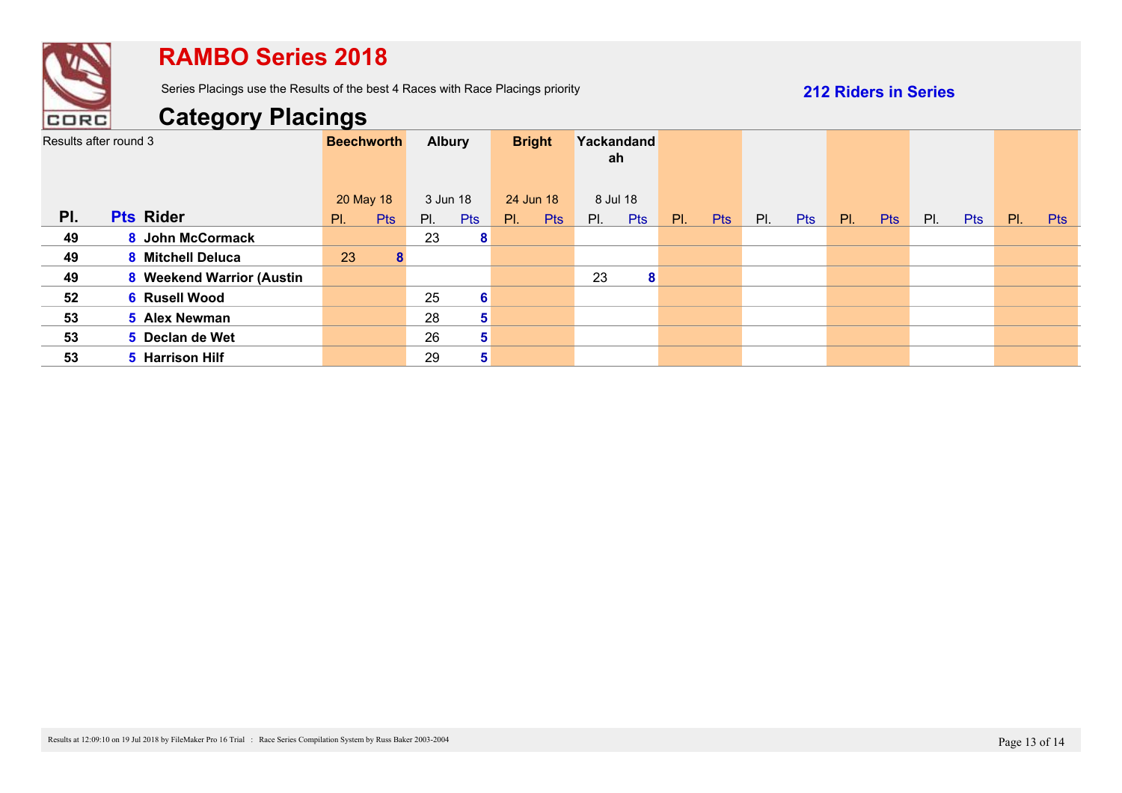

Series Placings use the Results of the best 4 Races with Race Placings priority

**212 Riders in Series**

|     | Results after round 3     | <b>Beechworth</b> | <b>Albury</b>     | <b>Bright</b>                 | Yackandand<br>ah              |                   |                   |                   |                   |                   |
|-----|---------------------------|-------------------|-------------------|-------------------------------|-------------------------------|-------------------|-------------------|-------------------|-------------------|-------------------|
|     |                           | 20 May 18         | 3 Jun 18          | 24 Jun 18                     | 8 Jul 18                      |                   |                   |                   |                   |                   |
| PI. | <b>Pts Rider</b>          | <b>Pts</b><br>PI. | PI.<br><b>Pts</b> | <b>Pts</b><br>$\mathsf{PI}$ . | $\mathsf{PI}$ .<br><b>Pts</b> | PI.<br><b>Pts</b> | PI.<br><b>Pts</b> | PI.<br><b>Pts</b> | PI.<br><b>Pts</b> | PI.<br><b>Pts</b> |
| 49  | 8 John McCormack          |                   | 23<br>8           |                               |                               |                   |                   |                   |                   |                   |
| 49  | 8 Mitchell Deluca         | 23<br>8           |                   |                               |                               |                   |                   |                   |                   |                   |
| 49  | 8 Weekend Warrior (Austin |                   |                   |                               | 23<br>8                       |                   |                   |                   |                   |                   |
| 52  | <b>6 Rusell Wood</b>      |                   | 25<br>6           |                               |                               |                   |                   |                   |                   |                   |
| 53  | 5 Alex Newman             |                   | 28<br>5           |                               |                               |                   |                   |                   |                   |                   |
| 53  | 5 Declan de Wet           |                   | 26<br>5           |                               |                               |                   |                   |                   |                   |                   |
| 53  | 5 Harrison Hilf           |                   | 29<br>5           |                               |                               |                   |                   |                   |                   |                   |